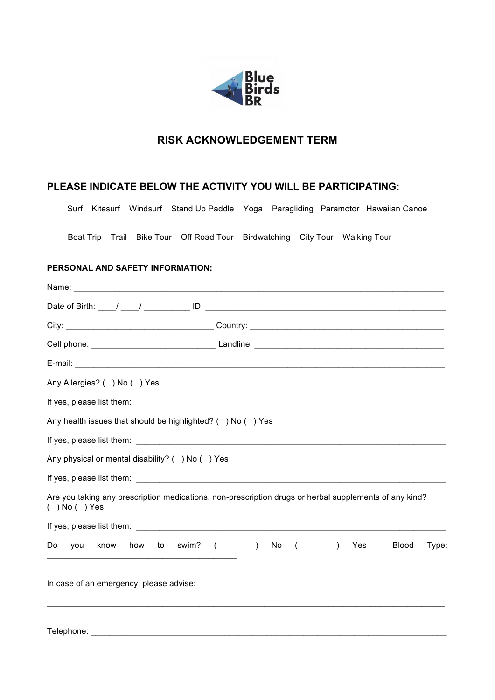

## **RISK ACKNOWLEDGEMENT TERM**

## **PLEASE INDICATE BELOW THE ACTIVITY YOU WILL BE PARTICIPATING:**

Surf Kitesurf Windsurf Stand Up Paddle Yoga Paragliding Paramotor Hawaiian Canoe

Boat Trip Trail Bike Tour Off Road Tour Birdwatching City Tour Walking Tour

## **PERSONAL AND SAFETY INFORMATION:**

Telephone: \_\_\_\_\_\_\_\_\_\_\_\_\_\_\_\_\_\_\_\_\_\_\_\_\_\_\_\_\_\_\_\_\_\_\_\_\_\_\_\_\_\_\_\_\_\_\_\_\_\_\_\_\_\_\_\_\_\_\_\_\_\_\_\_\_\_\_\_\_\_\_\_\_\_\_\_\_

| Any Allergies? ( ) No ( ) Yes                                                                                                |
|------------------------------------------------------------------------------------------------------------------------------|
|                                                                                                                              |
| Any health issues that should be highlighted? () No () Yes                                                                   |
|                                                                                                                              |
| Any physical or mental disability? () No () Yes                                                                              |
|                                                                                                                              |
| Are you taking any prescription medications, non-prescription drugs or herbal supplements of any kind?<br>$( )$ No $( )$ Yes |
|                                                                                                                              |
| know how to swim? ( ) No (<br>Do<br><b>Blood</b><br>$\lambda$<br>Yes<br>Type:<br>you                                         |
| In case of an emergency, please advise:                                                                                      |
|                                                                                                                              |